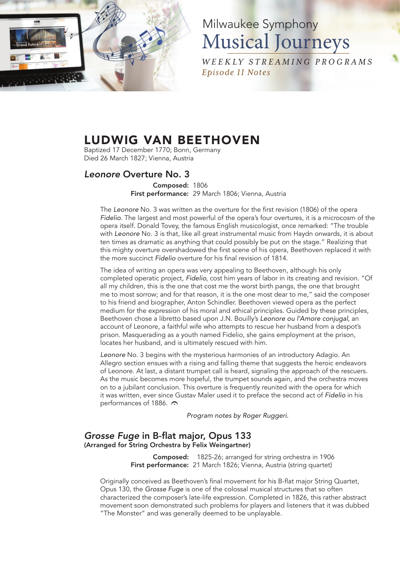

# Milwaukee Symphony Musical Journeys

*W E E K LY ST R E A M I NG P RO G R A M S Episode 11 Notes*

## LUDWIG VAN BEETHOVEN

Baptized 17 December 1770; Bonn, Germany Died 26 March 1827; Vienna, Austria

#### *Leonore* Overture No. 3

Composed: 1806 First performance: 29 March 1806; Vienna, Austria

The *Leonore* No. 3 was written as the overture for the first revision (1806) of the opera *Fidelio*. The largest and most powerful of the opera's four overtures, it is a microcosm of the opera itself. Donald Tovey, the famous English musicologist, once remarked: "The trouble with *Leonore* No. 3 is that, like all great instrumental music from Haydn onwards, it is about ten times as dramatic as anything that could possibly be put on the stage." Realizing that this mighty overture overshadowed the first scene of his opera, Beethoven replaced it with the more succinct *Fidelio* overture for his final revision of 1814.

The idea of writing an opera was very appealing to Beethoven, although his only completed operatic project, *Fidelio*, cost him years of labor in its creating and revision. "Of all my children, this is the one that cost me the worst birth pangs, the one that brought me to most sorrow; and for that reason, it is the one most dear to me," said the composer to his friend and biographer, Anton Schindler. Beethoven viewed opera as the perfect medium for the expression of his moral and ethical principles. Guided by these principles, Beethoven chose a libretto based upon J.N. Bouilly's *Leonore ou l'Amore conjugal*, an account of Leonore, a faithful wife who attempts to rescue her husband from a despot's prison. Masquerading as a youth named Fidelio, she gains employment at the prison, locates her husband, and is ultimately rescued with him.

*Leonore* No. 3 begins with the mysterious harmonies of an introductory Adagio. An Allegro section ensues with a rising and falling theme that suggests the heroic endeavors of Leonore. At last, a distant trumpet call is heard, signaling the approach of the rescuers. As the music becomes more hopeful, the trumpet sounds again, and the orchestra moves on to a jubilant conclusion. This overture is frequently reunited with the opera for which it was written, ever since Gustav Maler used it to preface the second act of *Fidelio* in his performances of 1886.  $\Omega$ 

*Program notes by Roger Ruggeri.*

#### *Grosse Fuge* in B-flat major, Opus 133 (Arranged for String Orchestra by Felix Weingartner)

Composed: 1825-26; arranged for string orchestra in 1906 First performance: 21 March 1826; Vienna, Austria (string quartet)

Originally conceived as Beethoven's final movement for his B-flat major String Quartet, Opus 130, the *Grosse Fuge* is one of the colossal musical structures that so often characterized the composer's late-life expression. Completed in 1826, this rather abstract movement soon demonstrated such problems for players and listeners that it was dubbed "The Monster" and was generally deemed to be unplayable.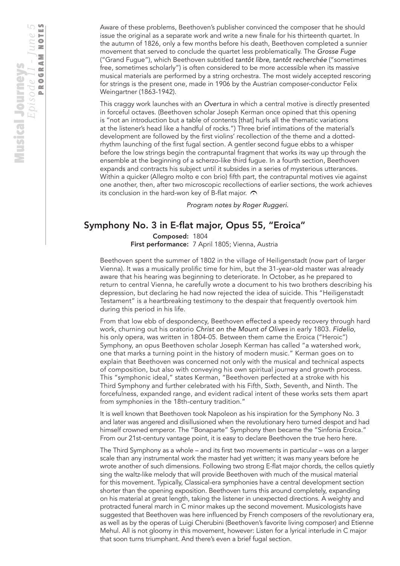This craggy work launches with an *Overtura* in which a central motive is directly presented in forceful octaves. (Beethoven scholar Joseph Kerman once opined that this opening is "not an introduction but a table of contents [that] hurls all the thematic variations at the listener's head like a handful of rocks.") Three brief intimations of the material's development are followed by the first violins' recollection of the theme and a dottedrhythm launching of the first fugal section. A gentler second fugue ebbs to a whisper before the low strings begin the contrapuntal fragment that works its way up through the ensemble at the beginning of a scherzo-like third fugue. In a fourth section, Beethoven expands and contracts his subject until it subsides in a series of mysterious utterances. Within a quicker (Allegro molto e con brio) fifth part, the contrapuntal motives vie against one another, then, after two microscopic recollections of earlier sections, the work achieves its conclusion in the hard-won key of B-flat major.  $\curvearrowright$ 

*Program notes by Roger Ruggeri.*

### Symphony No. 3 in E-flat major, Opus 55, "Eroica"

Composed: 1804 First performance: 7 April 1805; Vienna, Austria

Beethoven spent the summer of 1802 in the village of Heiligenstadt (now part of larger Vienna). It was a musically prolific time for him, but the 31-year-old master was already aware that his hearing was beginning to deteriorate. In October, as he prepared to return to central Vienna, he carefully wrote a document to his two brothers describing his depression, but declaring he had now rejected the idea of suicide. This "Heiligenstadt Testament" is a heartbreaking testimony to the despair that frequently overtook him during this period in his life.

From that low ebb of despondency, Beethoven effected a speedy recovery through hard work, churning out his oratorio *Christ on the Mount of Olives* in early 1803. *Fidelio*, his only opera, was written in 1804-05. Between them came the Eroica ("Heroic") Symphony, an opus Beethoven scholar Joseph Kerman has called "a watershed work, one that marks a turning point in the history of modern music." Kerman goes on to explain that Beethoven was concerned not only with the musical and technical aspects of composition, but also with conveying his own spiritual journey and growth process. This "symphonic ideal," states Kerman, "Beethoven perfected at a stroke with his Third Symphony and further celebrated with his Fifth, Sixth, Seventh, and Ninth. The forcefulness, expanded range, and evident radical intent of these works sets them apart from symphonies in the 18th-century tradition."

It is well known that Beethoven took Napoleon as his inspiration for the Symphony No. 3 and later was angered and disillusioned when the revolutionary hero turned despot and had himself crowned emperor. The "Bonaparte" Symphony then became the "Sinfonia Eroica." From our 21st-century vantage point, it is easy to declare Beethoven the true hero here.

The Third Symphony as a whole – and its first two movements in particular – was on a larger scale than any instrumental work the master had yet written; it was many years before he wrote another of such dimensions. Following two strong E-flat major chords, the cellos quietly sing the waltz-like melody that will provide Beethoven with much of the musical material for this movement. Typically, Classical-era symphonies have a central development section shorter than the opening exposition. Beethoven turns this around completely, expanding on his material at great length, taking the listener in unexpected directions. A weighty and protracted funeral march in C minor makes up the second movement. Musicologists have suggested that Beethoven was here influenced by French composers of the revolutionary era, as well as by the operas of Luigi Cherubini (Beethoven's favorite living composer) and Etienne Mehul. All is not gloomy in this movement, however: Listen for a lyrical interlude in C major that soon turns triumphant. And there's even a brief fugal section.